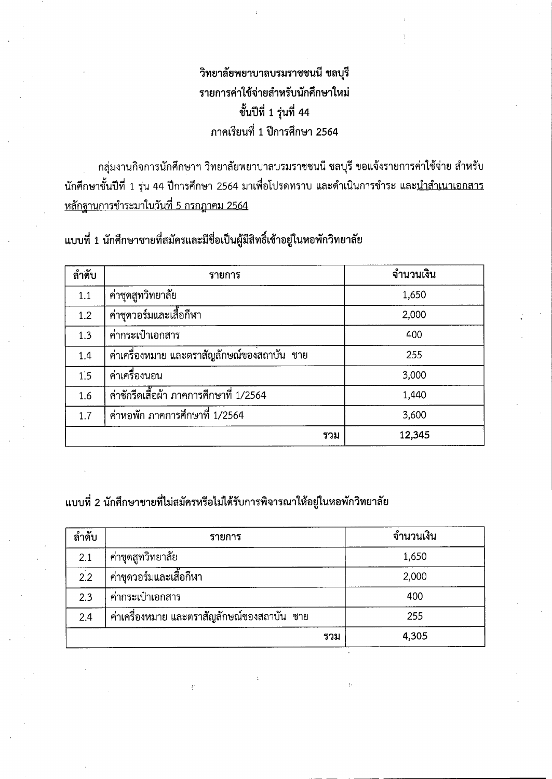## วิทยาลัยพยาบาลบรมราชชนนี ชลบุรี รายการค่าใช้จ่ายสำหรับนักศึกษาใหม่ ชั้นปีที่ 1 รุ่นที่ 44 ภาคเรียนที่ 1 ปีการศึกษา 2564

ึกลุ่มงานกิจการนักศึกษาฯ วิทยาลัยพยาบาลบรมราชชนนี ชลบุรี ขอแจ้งรายการค่าใช้จ่าย สำหรับ ้นักศึกษาชั้นปีที่ 1 รุ่น 44 ปีการศึกษา 2564 มาเพื่อโปรดทราบ และดำเนินการชำระ และ<u>นำสำเนาเอกสาร</u> <u>หลักฐานการชำระมาในวันที่ 5 กรกฎาคม 2564</u>

|  | แบบที่ 1 นักศึกษาชายที่สมัครและมีชื่อเป็นผู้มีสิทธิ์เข้าอยู่ในหอพักวิทยาลัย |  |  |  |  |
|--|-----------------------------------------------------------------------------|--|--|--|--|
|  |                                                                             |  |  |  |  |

| ลำดับ | รายการ                                      | จำนวนเงิน |
|-------|---------------------------------------------|-----------|
| 1.1   | ค่าชุดสูทวิทยาลัย                           | 1,650     |
| 1.2   | ค่าชุดวอร์มและเสื้อกีฬา                     | 2,000     |
| 1.3   | ค่ากระเป๋าเอกสาร                            | 400       |
| 1.4   | ค่าเครื่องหมาย และตราสัญลักษณ์ของสถาบัน ชาย | 255       |
| 1.5   | ค่าเครื่องนอน                               | 3,000     |
| 1.6   | ้ค่าซักรีดเสื้อผ้า ภาคการศึกษาที่ 1/2564    | 1,440     |
| 1.7   | ้ค่าหอพัก ภาคการศึกษาที่ 1/2564             | 3,600     |
|       | รวม                                         | 12,345    |

### แบบที่ 2 นักศึกษาชายที่ไม่สมัครหรือไม่ได้รับการพิจารณาให้อยู่ในหอพักวิทยาลัย

 $\bar{P}$ 

| ลำดับ | รายการ                                       | จำนวนเงิน |
|-------|----------------------------------------------|-----------|
| 2.1   | ค่าชุดสูทวิทยาลัย                            | 1,650     |
| 2.2   | ค่าชุดวอร์มและเสื้อกีฬา                      | 2,000     |
| 2.3   | ค่ากระเป๋าเอกสาร                             | 400       |
| 2.4   | ้ค่าเครื่องหมาย และตราสัญลักษณ์ของสถาบัน ชาย | 255       |
|       | รวม                                          | 4,305     |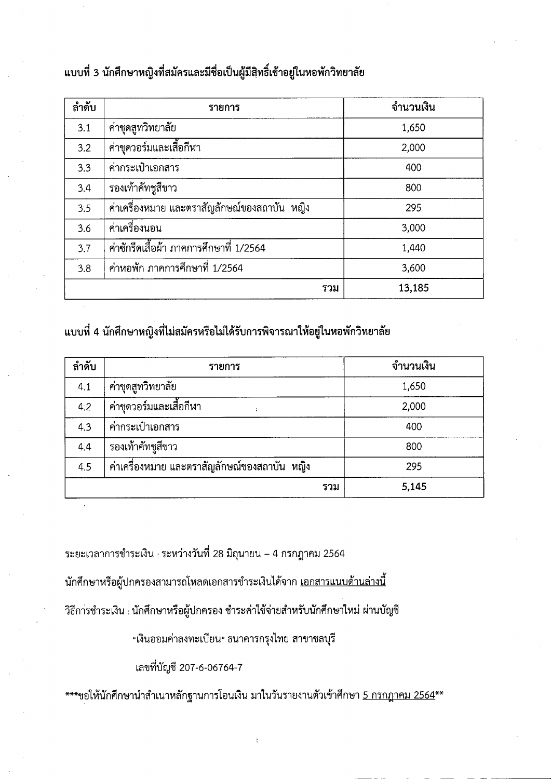### แบบที่ 3 นักศึกษาหญิงที่สมัครและมีชื่อเป็นผู้มีสิทธิ์เข้าอยู่ในหอพักวิทยาลัย

| ลำดับ | รายการ                                         | จำนวนเงิน |
|-------|------------------------------------------------|-----------|
| 3.1   | ค่าชุดสูทวิทยาลัย                              | 1,650     |
| 3.2   | ค่าชุดวอร์มและเสื้อกีฬา                        | 2,000     |
| 3.3   | ค่ากระเป๋าเอกสาร                               | 400       |
| 3.4   | รองเท้าคัทชูสีขาว                              | 800       |
| 3:5   | ้ค่าเครื่องหมาย และตราสัญลักษณ์ของสถาบัน  หญิง | 295       |
| 3.6   | ค่าเครื่องนอน                                  | 3,000     |
| 3.7   | ้ค่าซักรีดเสื้อผ้า ภาคการศึกษาที่ 1/2564       | 1,440     |
| 3.8   | ้ค่าหอพัก ภาคการศึกษาที่ 1/2564                | 3,600     |
|       | รวม                                            | 13,185    |

### แบบที่ 4 นักศึกษาหญิงที่ไม่สมัครหรือไม่ได้รับการพิจารณาให้อยู่ในหอพักวิทยาลัย

| ลำดับ | รายการ                                        | จำนวนเงิน |
|-------|-----------------------------------------------|-----------|
| 4.1   | ค่าชุดสูทวิทยาลัย                             | 1,650     |
| 4:2   | ค่าชุดวอร์มและเสื้อกีฬา                       | 2,000     |
| 4.3   | ค่ากระเป๋าเอกสาร                              | 400       |
| 4.4   | รองเท้าคัทชูสีขาว                             | 800       |
| 4.5   | ้ค่าเครื่องหมาย และตราสัญลักษณ์ของสถาบัน หญิง | 295       |
|       | รวม                                           | 5,145     |

ระยะเวลาการชำระเงิน : ระหว่างวันที่ 28 มิถุนายน – 4 กรกฎาคม 2564

้นักศึกษาหรือผู้ปกครองสามารถโหลดเอกสารชำระเงินได้จาก <u>เอกสารแนบด้านล่างนี้</u>

วิธีการชำระเงิน : นักศึกษาหรือผู้ปกครอง ชำระค่าใช้จ่ายสำหรับนักศึกษาใหม่ ผ่านบัญชี

"เงินออมค่าลงทะเบียน" ธนาคารกรุงไทย สาขาชลบุรี

เลขที่บัญชี 207-6-06764-7

\*\*\*ขอให้นักศึกษานำสำเนาหลักฐานการโอนเงิน มาในวันรายงานตัวเข้าศึกษา <u>5 กรกฎาคม 2564</u>\*\*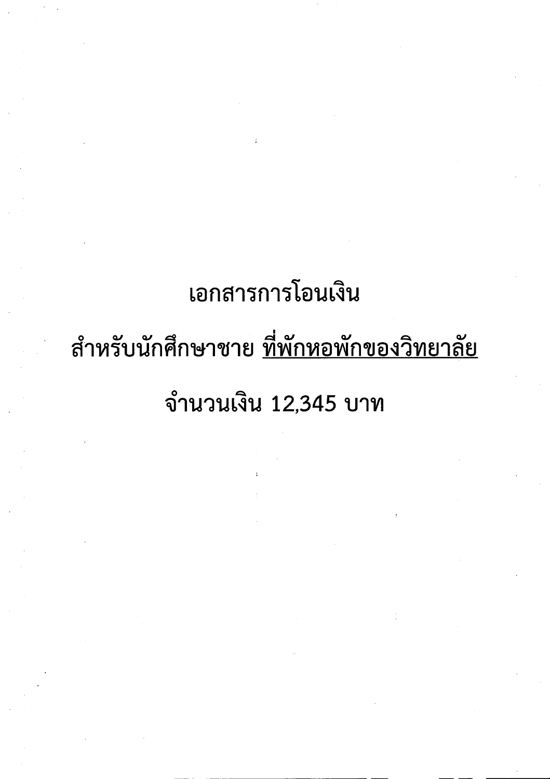# เอกสารการโอนเงิน สำหรับนักศึกษาชาย <u>ที่พักหอพักของวิทยาลัย</u> จำนวนเงิน 12,345 บาท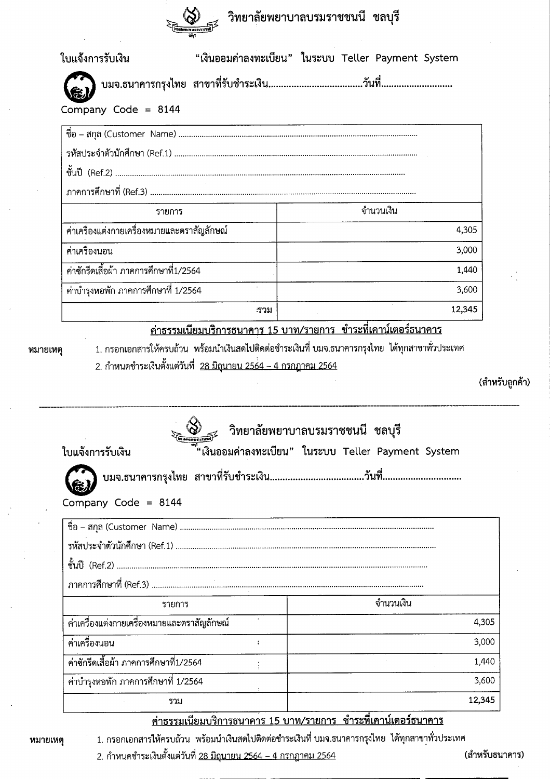| ใบแจ้งการรับเงิน                                                |      | "เงินออมค่าลงทะเบียน" ในระบบ Teller Payment System                                                                                                                                            |
|-----------------------------------------------------------------|------|-----------------------------------------------------------------------------------------------------------------------------------------------------------------------------------------------|
|                                                                 |      |                                                                                                                                                                                               |
|                                                                 |      |                                                                                                                                                                                               |
| Company Code = $8144$                                           |      |                                                                                                                                                                                               |
|                                                                 |      |                                                                                                                                                                                               |
|                                                                 |      |                                                                                                                                                                                               |
|                                                                 |      |                                                                                                                                                                                               |
|                                                                 |      |                                                                                                                                                                                               |
| รายการ                                                          |      | จำนวนเงิน                                                                                                                                                                                     |
| ์<br>ค่าเครื่องแต่งกายเครื่องหมายและตราสัญลักษณ์                |      | 4,305                                                                                                                                                                                         |
| ์ค่าเครื่องนอน                                                  |      | 3,000                                                                                                                                                                                         |
| ค่าซักรีดเสื้อผ้า ภาคการศึกษาที่1/2564                          |      | 1,440                                                                                                                                                                                         |
| ค่าบำรุงหอพัก ภาคการศึกษาที่ 1/2564                             |      | 3,600                                                                                                                                                                                         |
|                                                                 | ะรวม | 12,345                                                                                                                                                                                        |
| 2. กำหนดชำระเงินตั้งแต่วันที่ 28 มิถุนายน 2564 - 4 กรกฎาคม 2564 |      | <u>ค่าธรรมเนียมบริการธนาคาร 15 บาท/รายการ  ชำระที่เคาน์เตอร์ธนาคาร</u><br>1. กรอกเอกสารให้ครบถ้วน  พร้อมนำเงินสดไปติดต่อชำระเงินที่ บมจ.ธนาคารกรุงไทย  ได้ทุกสาขาทั่วประเทศ<br>(สำหรับลูกค้า) |
|                                                                 |      | วิทยาลัยพยาบาลบรมราชชนนี ชลบุรี                                                                                                                                                               |
| ใบแจ้งการรับเงิน                                                |      | ้"เงินออมค่าลงทะเบียน" ในระบบ Teller Payment System                                                                                                                                           |
|                                                                 |      |                                                                                                                                                                                               |
|                                                                 |      |                                                                                                                                                                                               |
|                                                                 |      |                                                                                                                                                                                               |
|                                                                 |      |                                                                                                                                                                                               |
|                                                                 |      |                                                                                                                                                                                               |
|                                                                 |      |                                                                                                                                                                                               |
| รายการ                                                          |      | จำนวนเงิน                                                                                                                                                                                     |
| ้ค่าเครื่องแต่งกายเครื่องหมายและตราสัญลักษณ์                    |      | 4,305                                                                                                                                                                                         |
| ค่าเครื่องนอน                                                   | ÷    | 3,000                                                                                                                                                                                         |
| ค่าซักรีดเสื้อผ้า ภาคการศึกษาที่1/2564                          |      | 1,440                                                                                                                                                                                         |
| Company Code = 8144<br>ค่าบำรุงหอพัก ภาคการศึกษาที่ 1/2564      |      | 3,600                                                                                                                                                                                         |

2. กำหนดชำระเงินตั้งแต่วันที่ <u>28 มิถุนายน 2564 – 4 กรกฎาคม 2564</u>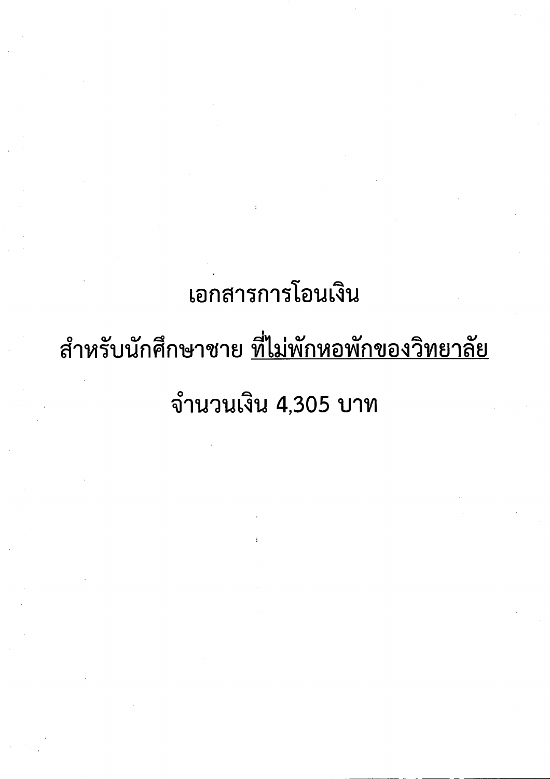# เอกสารการโอนเงิน สำหรับนักศึกษาชาย <u>ที่ไม่พักหอพักของวิทยาลัย</u> จำนวนเงิน 4,305 บาท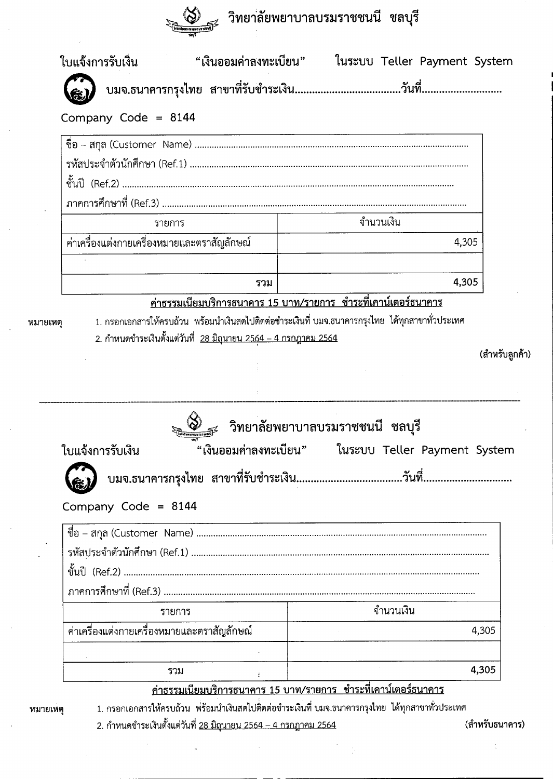## <sub>ฐ≨</sub> วิทยาลัยพยาบาลบรมราชชนนี ชลบุรี

ใบแจ้งการรับเงิน "เงินออมค่าลงทะเบียน" ในระบบ Teller Payment System Company Code = 8144 จำนวนเงิน รายการ ีค่าเครื่องแต่งกายเครื่องหมายและตราสัญลักษณ์ 4,305

## ีค่าธรรมเนียมบริการธนาคาร 15 บาท/รายการ ชำระที่เคาน์เตอร์ธนาคาร

หมายเหตุ

1. กรอกเอกสารให้ครบถ้วน พร้อมนำเงินสดไปติดต่อชำระเงินที่ บมจ.ธนาคารกรุงไทย ได้ทุกสาขาทั่วประเทศ 2. กำหนดชำระเงินตั้งแต่วันที่ <u>28 มิถุนายน 2564 – 4 กรกฎาคม 2564</u>

รวม

(สำหรับลูกค้า)

4,305

| ใบแจ้งการรับเงิน                             | "เงินออมค่าลงทะเบียน" ในระบบ Teller Payment System |
|----------------------------------------------|----------------------------------------------------|
|                                              |                                                    |
| Company Code = $8144$                        |                                                    |
|                                              |                                                    |
|                                              |                                                    |
|                                              |                                                    |
|                                              |                                                    |
|                                              |                                                    |
| รายการ                                       | จำนวนเงิน                                          |
| ้ค่าเครื่องแต่งกายเครื่องหมายและตราสัญลักษณ์ | 4,305                                              |
|                                              |                                                    |

หมายเหต

1. กรอกเอกสารให้ครบถ้วน พ่ร้อมนำเงินสดไปติดต่อชำระเงินที่ บมจ.ธนาคารกรุงไทย ได้ทุกสาขาทั่วประเทศ

2. กำหนดชำระเงินตั้งแต่วันที่ <u>28 มิถุนายน 2564 – 4 กรกฎาคม 2564</u>

(สำหรับธนาคาร)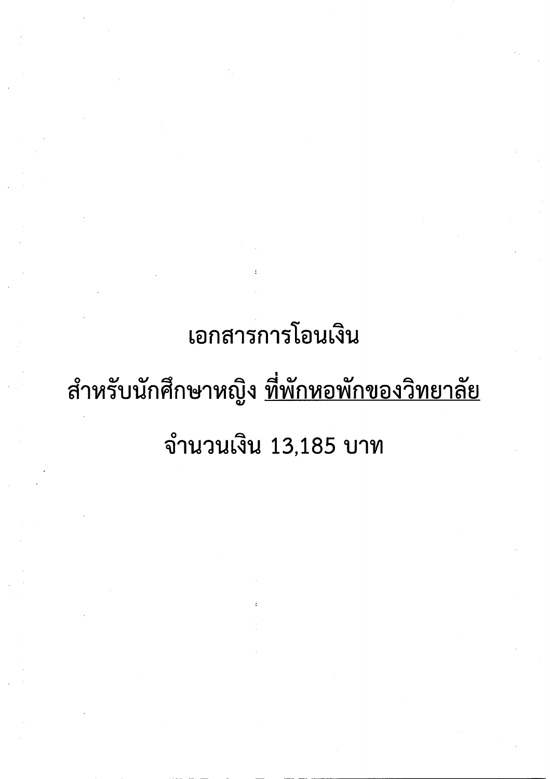# เอกสารการโอนเงิน สำหรับนักศึกษาหญิง <u>ที่พักหอพักของวิทยาลัย</u> จำนวนเงิน 13,185 บาท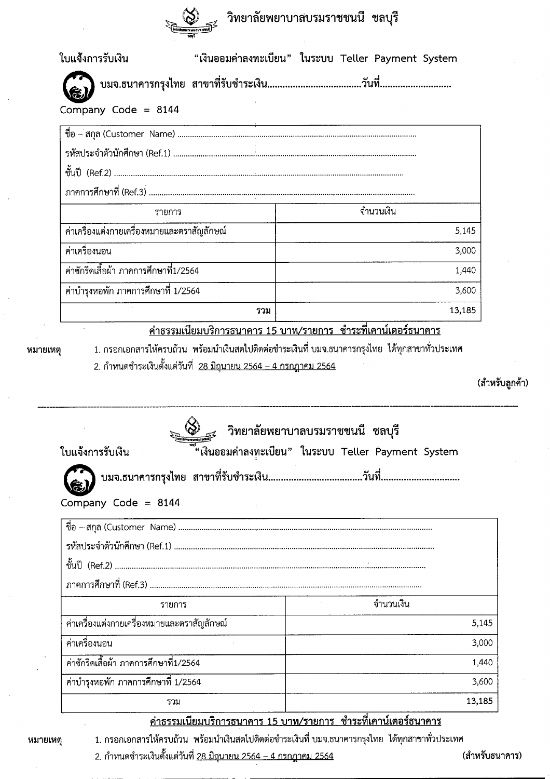

|          | Company Code = 8144                          |                                                                        |                                                                                                                                                                        |
|----------|----------------------------------------------|------------------------------------------------------------------------|------------------------------------------------------------------------------------------------------------------------------------------------------------------------|
|          |                                              |                                                                        |                                                                                                                                                                        |
|          |                                              |                                                                        |                                                                                                                                                                        |
|          |                                              |                                                                        |                                                                                                                                                                        |
|          |                                              |                                                                        |                                                                                                                                                                        |
|          | รายการ                                       |                                                                        | จำนวนเงิน                                                                                                                                                              |
|          | ้ค่าเครื่องแต่งกายเครื่องหมายและตราสัญลักษณ์ |                                                                        | 5,145                                                                                                                                                                  |
|          | ค่าเครื่องนอน                                |                                                                        | 3,000                                                                                                                                                                  |
|          | ์ค่าซักรีดเสื้อผ้า ภาคการศึกษาที่1/2564      |                                                                        | 1,440                                                                                                                                                                  |
|          | ค่าบำรุงหอพัก ภาคการศึกษาที่ 1/2564          |                                                                        | 3,600                                                                                                                                                                  |
|          |                                              | รวม                                                                    | 13,185                                                                                                                                                                 |
| หมายเหตุ |                                              | 2. กำหนดชำระเงินตั้งแต่วันที่ <u>28 มิถุนายน 2564 – 4 กรกฎาคม 2564</u> | ์ ค่าธรรมเนียมบริการธนาคาร 15 บาท/รายการ  ชำระที่เคาน์เตอร์ธนาคาร<br>1. กรอกเอกสารให้ครบถ้วน  พร้อมนำเงินสดไปติดต่อชำระเงินที่ บมจ.ธนาคารกรุงไทย  ได้ทุกสาขาทั่วประเทศ |
|          |                                              |                                                                        |                                                                                                                                                                        |
|          |                                              |                                                                        |                                                                                                                                                                        |

ำหรับลูกค้า)

|                                               | <sub>รรี</sub> วิทยาลัยพยาบาลบรมราชชนนี ชลบุรี      |           |
|-----------------------------------------------|-----------------------------------------------------|-----------|
| ใบแจ้งการรับเงิน                              | ้"เงินออมค่าลงทะเบียน" ในระบบ Teller Payment System |           |
|                                               |                                                     |           |
| Company Code = $8144$                         |                                                     |           |
|                                               |                                                     |           |
|                                               |                                                     |           |
|                                               |                                                     |           |
|                                               |                                                     |           |
|                                               |                                                     |           |
| รายการ                                        |                                                     | จำนวนเงิน |
| ์ ค่าเครื่องแต่งกายเครื่องหมายและตราสัญลักษณ์ |                                                     | 5,145     |
| ค่าเครื่องนอน                                 |                                                     | 3,000     |
| ์ค่าซักรีดเสื้อผ้า ภาคการศึกษาที่1/2564       |                                                     | 1,440     |
| ค่าบำรุงหอพัก ภาคการศึกษาที่ 1/2564           |                                                     | 3,600     |
| รวม                                           |                                                     | 13,185    |

#### ีค่าธรรมเนียมบริการธนาคาร 15 บาท/รายการ ชำระที่เคาน์เตอร์ธนาคาร

หมายเหตุ

1. กรอกเอกสารให้ครบถ้วน พร้อมนำเงินสดไปติดต่อชำระเงินที่ บมจ.ธนาคารกรุงไทย ได้ทุกสาขาทั่วประเทศ

2. กำหนดชำระเงินตั้งแต่วันที่ <u>28 มิถุนายน 2564 – 4 กรกฎาคม 2564</u>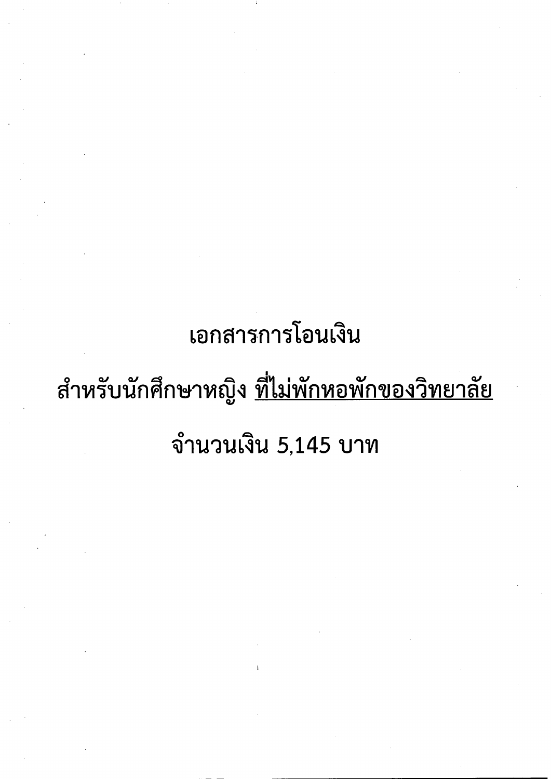# เอกสารการโอนเงิน สำหรับนักศึกษาหญิง <u>ที่ไม่พักหอพักของวิทยาลัย</u> จำนวนเงิน 5,145 บาท